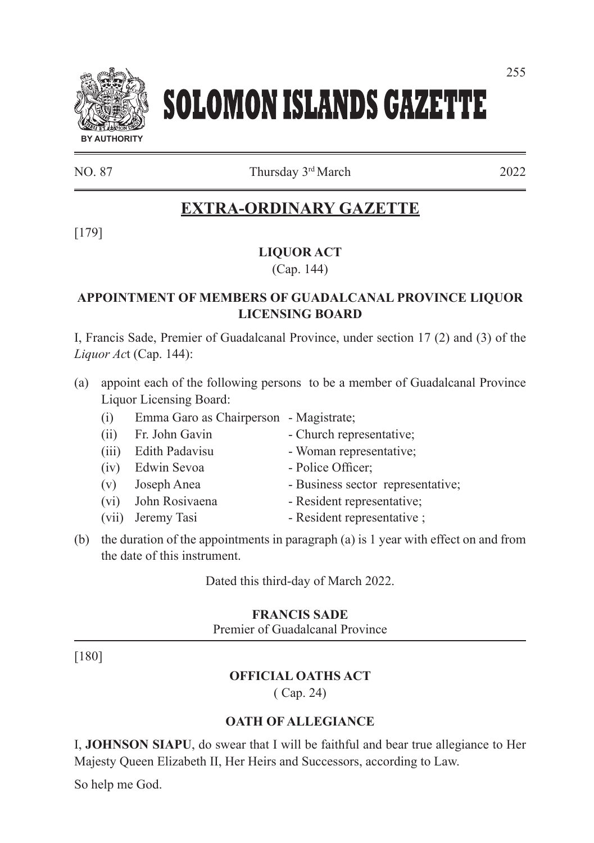# **SOLOMON ISLANDS GAZETTE**

NO. 87 Thursday 3rd March 2022

# **EXTRA-ORDINARY GAZETTE**

[179]

# **LIQUOR ACT**

(Cap. 144)

## **APPOINTMENT OF MEMBERS OF GUADALCANAL PROVINCE LIQUOR LICENSING BOARD**

I, Francis Sade, Premier of Guadalcanal Province, under section 17 (2) and (3) of the *Liquor Ac*t (Cap. 144):

- (a) appoint each of the following persons to be a member of Guadalcanal Province Liquor Licensing Board:
	- (i) Emma Garo as Chairperson Magistrate;
	-
	-
	- (iv) Edwin Sevoa Police Officer;
	-
	-
	-
	- (ii) Fr. John Gavin Church representative;
	- (iii) Edith Padavisu Woman representative;
		-
	- (v) Joseph Anea Business sector representative;
	- (vi) John Rosivaena Resident representative;
	- (vii) Jeremy Tasi Resident representative ;
- (b) the duration of the appointments in paragraph (a) is 1 year with effect on and from the date of this instrument.

Dated this third-day of March 2022.

## **FRANCIS SADE**

Premier of Guadalcanal Province

[180]

# **OFFICIAL OATHS ACT**

( Cap. 24)

## **OATH OF ALLEGIANCE**

I, **JOHNSON SIAPU**, do swear that I will be faithful and bear true allegiance to Her Majesty Queen Elizabeth II, Her Heirs and Successors, according to Law.

So help me God.

**BY AUTHORITY**